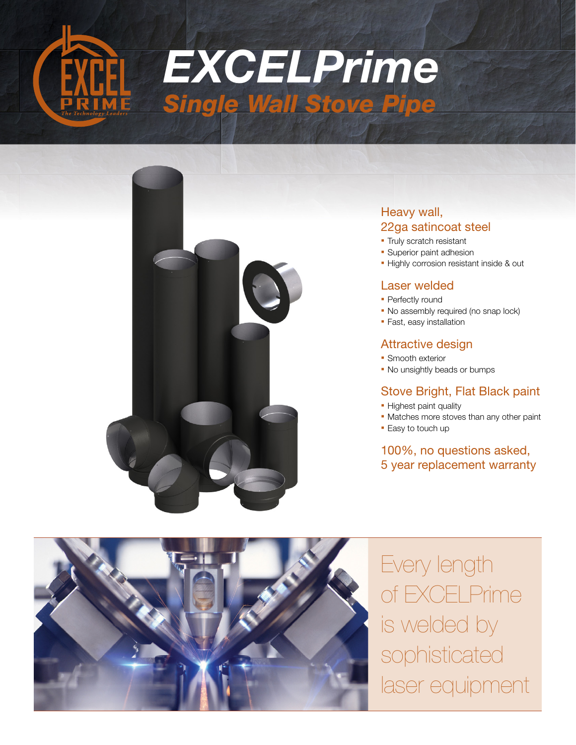



# Heavy wall, 22ga satincoat steel

- **Truly scratch resistant**
- **Superior paint adhesion**
- **.** Highly corrosion resistant inside & out

#### Laser welded

- Perfectly round
- No assembly required (no snap lock)
- **Fast, easy installation**

#### Attractive design

- **Smooth exterior**
- No unsightly beads or bumps

# Stove Bright, Flat Black paint

- **Highest paint quality**
- **Matches more stoves than any other paint**
- **Easy to touch up**

# 100%, no questions asked, 5 year replacement warranty



Every length of EXCELPrime is welded by sophisticated laser equipment